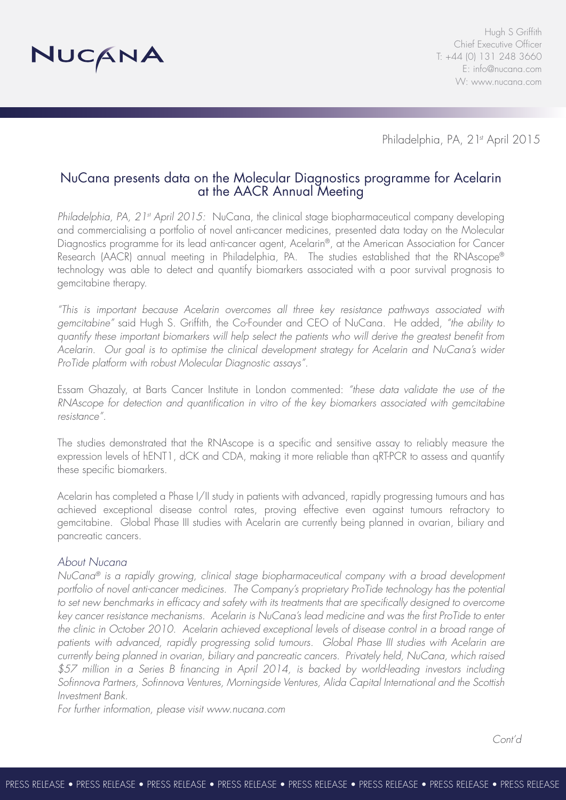

Hugh S Griffith Chief Executive Officer T: +44 (0) 131 248 3660 E: info@nucana.com W: www.nucana.com

Philadelphia, PA, 2<sup>1st</sup> April 2015

# NuCana presents data on the Molecular Diagnostics programme for Acelarin at the AACR Annual Meeting

*Philadelphia, PA, 21st April 2015:* NuCana, the clinical stage biopharmaceutical company developing and commercialising a portfolio of novel anti-cancer medicines, presented data today on the Molecular Diagnostics programme for its lead anti-cancer agent, Acelarin®, at the American Association for Cancer Research (AACR) annual meeting in Philadelphia, PA. The studies established that the RNAscope® technology was able to detect and quantify biomarkers associated with a poor survival prognosis to gemcitabine therapy.

*"This is important because Acelarin overcomes all three key resistance pathways associated with gemcitabine"* said Hugh S. Griffith, the Co-Founder and CEO of NuCana. He added, *"the ability to quantify these important biomarkers will help select the patients who will derive the greatest benefit from Acelarin. Our goal is to optimise the clinical development strategy for Acelarin and NuCana's wider ProTide platform with robust Molecular Diagnostic assays".*

Essam Ghazaly, at Barts Cancer Institute in London commented: *"these data validate the use of the RNAscope for detection and quantification in vitro of the key biomarkers associated with gemcitabine resistance".*

The studies demonstrated that the RNAscope is a specific and sensitive assay to reliably measure the expression levels of hENT1, dCK and CDA, making it more reliable than qRT-PCR to assess and quantify these specific biomarkers.

Acelarin has completed a Phase I/II study in patients with advanced, rapidly progressing tumours and has achieved exceptional disease control rates, proving effective even against tumours refractory to gemcitabine. Global Phase III studies with Acelarin are currently being planned in ovarian, biliary and pancreatic cancers.

### *About Nucana*

*NuCana® is a rapidly growing, clinical stage biopharmaceutical company with a broad development portfolio of novel anti-cancer medicines. The Company's proprietary ProTide technology has the potential*  to set new benchmarks in efficacy and safety with its treatments that are specifically designed to overcome *key cancer resistance mechanisms. Acelarin is NuCana's lead medicine and was the first ProTide to enter the clinic in October 2010. Acelarin achieved exceptional levels of disease control in a broad range of patients with advanced, rapidly progressing solid tumours. Global Phase III studies with Acelarin are currently being planned in ovarian, biliary and pancreatic cancers. Privately held, NuCana, which raised \$57 million in a Series B financing in April 2014, is backed by world-leading investors including Sofinnova Partners, Sofinnova Ventures, Morningside Ventures, Alida Capital International and the Scottish Investment Bank.* 

*For further information, please visit www.nucana.com*

*Cont'd*